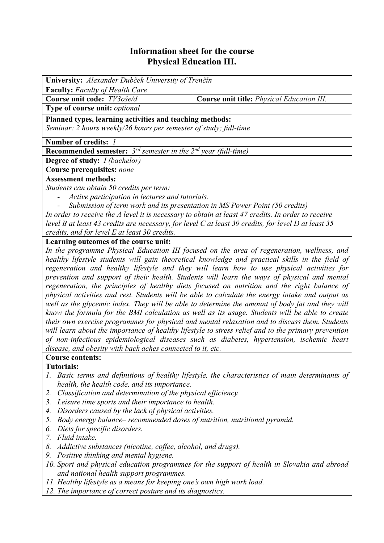# **Information sheet for the course Physical Education III.**

| University: Alexander Dubček University of Trenčín                                                                                                                                                                                                                                          |                                                   |  |  |  |  |
|---------------------------------------------------------------------------------------------------------------------------------------------------------------------------------------------------------------------------------------------------------------------------------------------|---------------------------------------------------|--|--|--|--|
| <b>Faculty:</b> Faculty of Health Care                                                                                                                                                                                                                                                      |                                                   |  |  |  |  |
| Course unit code: TV3oše/d                                                                                                                                                                                                                                                                  | <b>Course unit title:</b> Physical Education III. |  |  |  |  |
| Type of course unit: optional                                                                                                                                                                                                                                                               |                                                   |  |  |  |  |
| Planned types, learning activities and teaching methods:                                                                                                                                                                                                                                    |                                                   |  |  |  |  |
| Seminar: 2 hours weekly/26 hours per semester of study; full-time                                                                                                                                                                                                                           |                                                   |  |  |  |  |
| Number of credits: 1                                                                                                                                                                                                                                                                        |                                                   |  |  |  |  |
| <b>Recommended semester:</b> $3^{rd}$ semester in the $2^{nd}$ year (full-time)                                                                                                                                                                                                             |                                                   |  |  |  |  |
| <b>Degree of study:</b> <i>I (bachelor)</i>                                                                                                                                                                                                                                                 |                                                   |  |  |  |  |
| Course prerequisites: none                                                                                                                                                                                                                                                                  |                                                   |  |  |  |  |
| <b>Assessment methods:</b>                                                                                                                                                                                                                                                                  |                                                   |  |  |  |  |
| Students can obtain 50 credits per term:                                                                                                                                                                                                                                                    |                                                   |  |  |  |  |
| Active participation in lectures and tutorials.                                                                                                                                                                                                                                             |                                                   |  |  |  |  |
| Submission of term work and its presentation in MS Power Point (50 credits)                                                                                                                                                                                                                 |                                                   |  |  |  |  |
| In order to receive the A level it is necessary to obtain at least 47 credits. In order to receive                                                                                                                                                                                          |                                                   |  |  |  |  |
| level B at least 43 credits are necessary, for level C at least 39 credits, for level D at least 35                                                                                                                                                                                         |                                                   |  |  |  |  |
| credits, and for level E at least 30 credits.                                                                                                                                                                                                                                               |                                                   |  |  |  |  |
| Learning outcomes of the course unit:                                                                                                                                                                                                                                                       |                                                   |  |  |  |  |
| In the programme Physical Education III focused on the area of regeneration, wellness, and                                                                                                                                                                                                  |                                                   |  |  |  |  |
| healthy lifestyle students will gain theoretical knowledge and practical skills in the field of<br>regeneration and healthy lifestyle and they will learn how to use physical activities for<br>provention and support of their health. Students will learn the wave of physical and mental |                                                   |  |  |  |  |

*prevention and support of their health. Students will learn the ways of physical and mental regeneration, the principles of healthy diets focused on nutrition and the right balance of physical activities and rest. Students will be able to calculate the energy intake and output as well as the glycemic index. They will be able to determine the amount of body fat and they will know the formula for the BMI calculation as well as its usage. Students will be able to create their own exercise programmes for physical and mental relaxation and to discuss them. Students will learn about the importance of healthy lifestyle to stress relief and to the primary prevention of non-infectious epidemiological diseases such as diabetes, hypertension, ischemic heart disease, and obesity with back aches connected to it, etc.* 

## **Course contents:**

## **Tutorials:**

- *1. Basic terms and definitions of healthy lifestyle, the characteristics of main determinants of health, the health code, and its importance.*
- *2. Classification and determination of the physical efficiency.*
- *3. Leisure time sports and their importance to health.*
- *4. Disorders caused by the lack of physical activities.*
- *5. Body energy balance– recommended doses of nutrition, nutritional pyramid.*
- *6. Diets for specific disorders.*
- *7. Fluid intake.*
- *8. Addictive substances (nicotine, coffee, alcohol, and drugs).*
- *9. Positive thinking and mental hygiene.*
- *10. Sport and physical education programmes for the support of health in Slovakia and abroad and national health support programmes.*
- *11. Healthy lifestyle as a means for keeping one's own high work load.*
- *12. The importance of correct posture and its diagnostics.*